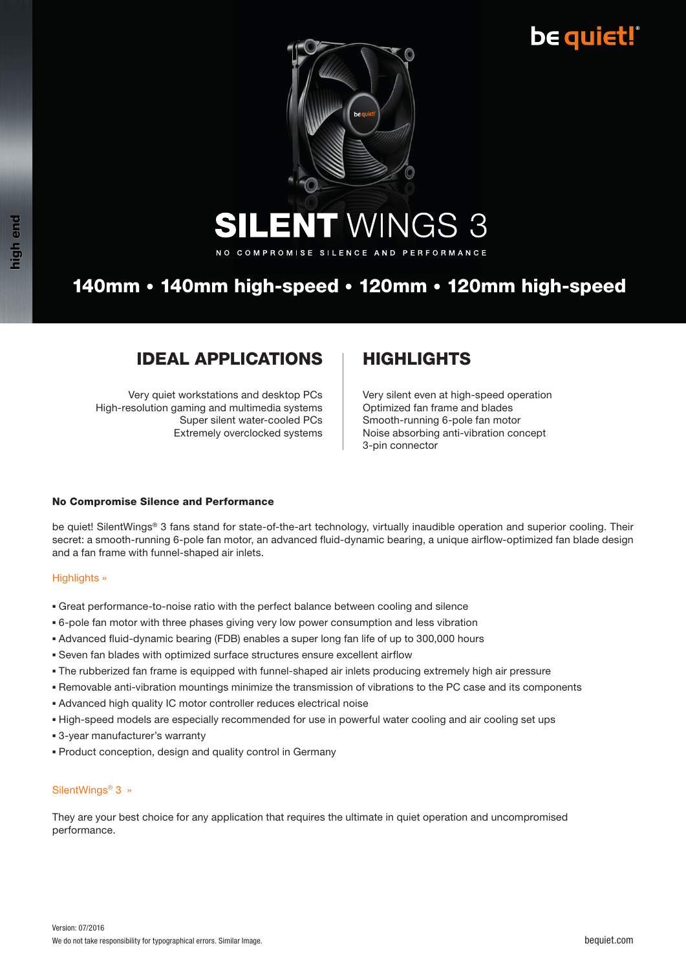## **be quiet!**



**ENT WINGS 3** SII

NO COMPROMISE SILENCE AND PERFORMANCE

### 140mm • 140mm high-speed • 120mm • 120mm high-speed

### **IDEAL APPLICATIONS | HIGHLIGHTS**

Very quiet workstations and desktop PCs High-resolution gaming and multimedia systems Super silent water-cooled PCs Extremely overclocked systems

Very silent even at high-speed operation Optimized fan frame and blades Smooth-running 6-pole fan motor Noise absorbing anti-vibration concept 3-pin connector

### No Compromise Silence and Performance

be quiet! SilentWings® 3 fans stand for state-of-the-art technology, virtually inaudible operation and superior cooling. Their secret: a smooth-running 6-pole fan motor, an advanced fluid-dynamic bearing, a unique airflow-optimized fan blade design and a fan frame with funnel-shaped air inlets.

### Highlights »

- Great performance-to-noise ratio with the perfect balance between cooling and silence
- 6-pole fan motor with three phases giving very low power consumption and less vibration
- Advanced fluid-dynamic bearing (FDB) enables a super long fan life of up to 300,000 hours
- Seven fan blades with optimized surface structures ensure excellent airflow
- The rubberized fan frame is equipped with funnel-shaped air inlets producing extremely high air pressure
- Removable anti-vibration mountings minimize the transmission of vibrations to the PC case and its components
- Advanced high quality IC motor controller reduces electrical noise
- High-speed models are especially recommended for use in powerful water cooling and air cooling set ups
- **B** 3-year manufacturer's warranty
- Product conception, design and quality control in Germany

### SilentWings® 3 »

They are your best choice for any application that requires the ultimate in quiet operation and uncompromised performance.